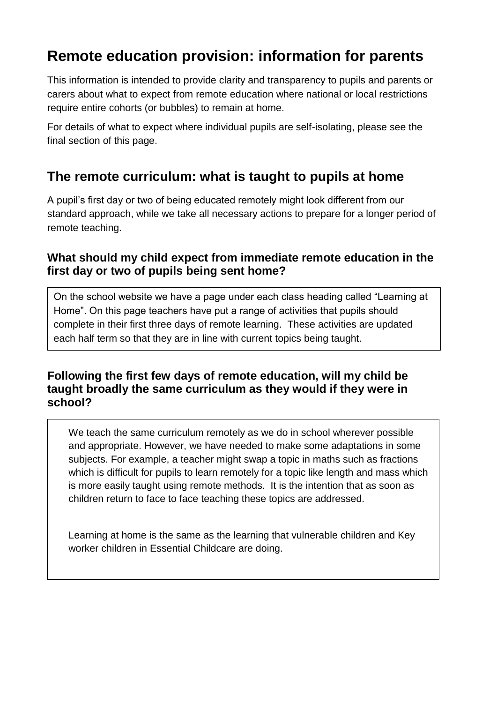# **Remote education provision: information for parents**

This information is intended to provide clarity and transparency to pupils and parents or carers about what to expect from remote education where national or local restrictions require entire cohorts (or bubbles) to remain at home.

For details of what to expect where individual pupils are self-isolating, please see the final section of this page.

### **The remote curriculum: what is taught to pupils at home**

A pupil's first day or two of being educated remotely might look different from our standard approach, while we take all necessary actions to prepare for a longer period of remote teaching.

#### **What should my child expect from immediate remote education in the first day or two of pupils being sent home?**

On the school website we have a page under each class heading called "Learning at Home". On this page teachers have put a range of activities that pupils should complete in their first three days of remote learning. These activities are updated each half term so that they are in line with current topics being taught.

#### **Following the first few days of remote education, will my child be taught broadly the same curriculum as they would if they were in school?**

We teach the same curriculum remotely as we do in school wherever possible and appropriate. However, we have needed to make some adaptations in some subjects. For example, a teacher might swap a topic in maths such as fractions which is difficult for pupils to learn remotely for a topic like length and mass which is more easily taught using remote methods. It is the intention that as soon as children return to face to face teaching these topics are addressed.

Learning at home is the same as the learning that vulnerable children and Key worker children in Essential Childcare are doing.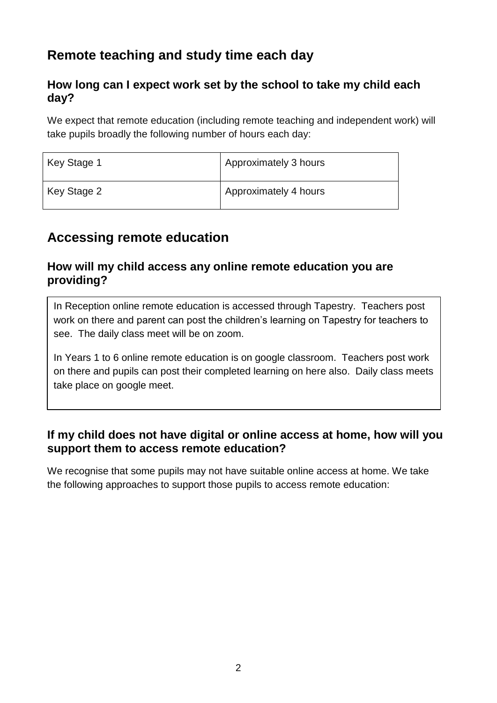# **Remote teaching and study time each day**

#### **How long can I expect work set by the school to take my child each day?**

We expect that remote education (including remote teaching and independent work) will take pupils broadly the following number of hours each day:

| Key Stage 1 | Approximately 3 hours |
|-------------|-----------------------|
| Key Stage 2 | Approximately 4 hours |

## **Accessing remote education**

#### **How will my child access any online remote education you are providing?**

In Reception online remote education is accessed through Tapestry. Teachers post work on there and parent can post the children's learning on Tapestry for teachers to see. The daily class meet will be on zoom.

In Years 1 to 6 online remote education is on google classroom. Teachers post work on there and pupils can post their completed learning on here also. Daily class meets take place on google meet.

#### **If my child does not have digital or online access at home, how will you support them to access remote education?**

We recognise that some pupils may not have suitable online access at home. We take the following approaches to support those pupils to access remote education: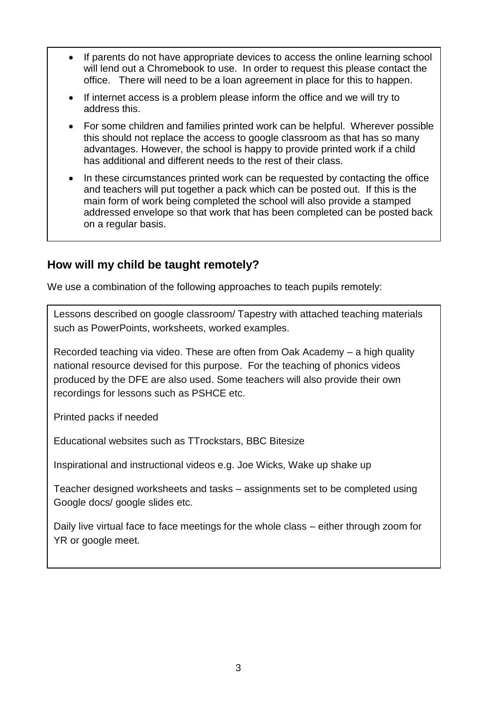- If parents do not have appropriate devices to access the online learning school will lend out a Chromebook to use. In order to request this please contact the office. There will need to be a loan agreement in place for this to happen.
- If internet access is a problem please inform the office and we will try to address this.
- For some children and families printed work can be helpful. Wherever possible this should not replace the access to google classroom as that has so many advantages. However, the school is happy to provide printed work if a child has additional and different needs to the rest of their class.
- In these circumstances printed work can be requested by contacting the office and teachers will put together a pack which can be posted out. If this is the main form of work being completed the school will also provide a stamped addressed envelope so that work that has been completed can be posted back on a regular basis.

#### **How will my child be taught remotely?**

We use a combination of the following approaches to teach pupils remotely:

Lessons described on google classroom/ Tapestry with attached teaching materials such as PowerPoints, worksheets, worked examples.

Recorded teaching via video. These are often from Oak Academy – a high quality national resource devised for this purpose. For the teaching of phonics videos produced by the DFE are also used. Some teachers will also provide their own recordings for lessons such as PSHCE etc.

Printed packs if needed

Educational websites such as TTrockstars, BBC Bitesize

Inspirational and instructional videos e.g. Joe Wicks, Wake up shake up

Teacher designed worksheets and tasks – assignments set to be completed using Google docs/ google slides etc.

Daily live virtual face to face meetings for the whole class – either through zoom for YR or google meet.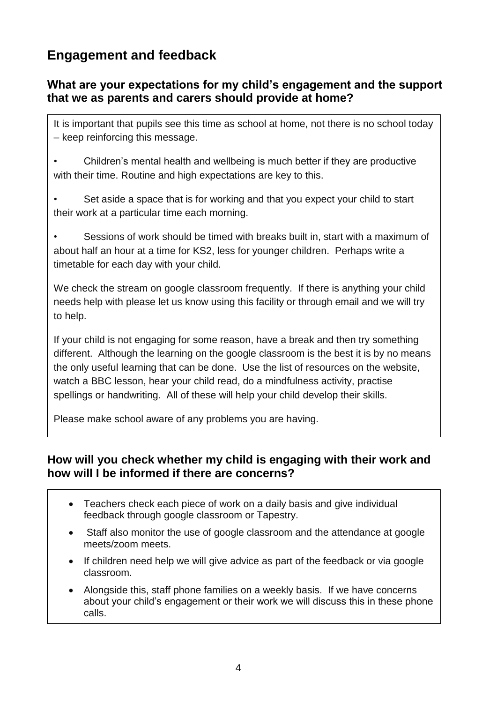# **Engagement and feedback**

#### **What are your expectations for my child's engagement and the support that we as parents and carers should provide at home?**

It is important that pupils see this time as school at home, not there is no school today – keep reinforcing this message.

• Children's mental health and wellbeing is much better if they are productive with their time. Routine and high expectations are key to this.

Set aside a space that is for working and that you expect your child to start their work at a particular time each morning.

• Sessions of work should be timed with breaks built in, start with a maximum of about half an hour at a time for KS2, less for younger children. Perhaps write a timetable for each day with your child.

We check the stream on google classroom frequently. If there is anything your child needs help with please let us know using this facility or through email and we will try to help.

If your child is not engaging for some reason, have a break and then try something different. Although the learning on the google classroom is the best it is by no means the only useful learning that can be done. Use the list of resources on the website, watch a BBC lesson, hear your child read, do a mindfulness activity, practise spellings or handwriting. All of these will help your child develop their skills.

Please make school aware of any problems you are having.

#### **How will you check whether my child is engaging with their work and how will I be informed if there are concerns?**

- Teachers check each piece of work on a daily basis and give individual feedback through google classroom or Tapestry.
- Staff also monitor the use of google classroom and the attendance at google meets/zoom meets.
- If children need help we will give advice as part of the feedback or via google classroom.
- Alongside this, staff phone families on a weekly basis. If we have concerns about your child's engagement or their work we will discuss this in these phone calls.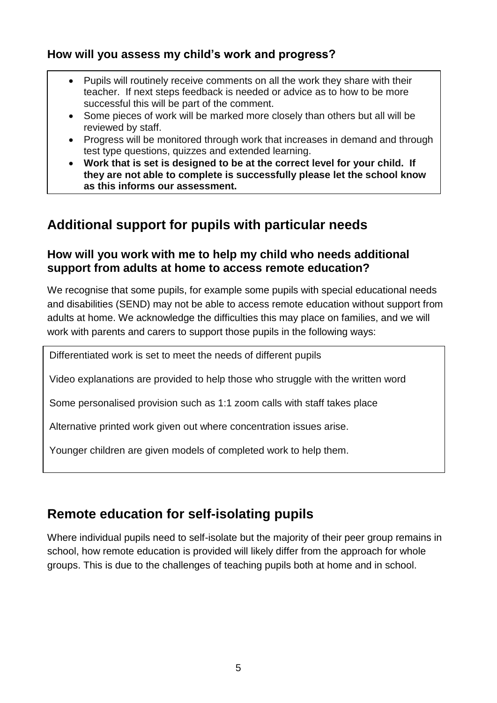#### **How will you assess my child's work and progress?**

- Pupils will routinely receive comments on all the work they share with their teacher. If next steps feedback is needed or advice as to how to be more successful this will be part of the comment.
- Some pieces of work will be marked more closely than others but all will be reviewed by staff.
- Progress will be monitored through work that increases in demand and through test type questions, quizzes and extended learning.
- **Work that is set is designed to be at the correct level for your child. If they are not able to complete is successfully please let the school know as this informs our assessment.**

### **Additional support for pupils with particular needs**

#### **How will you work with me to help my child who needs additional support from adults at home to access remote education?**

We recognise that some pupils, for example some pupils with special educational needs and disabilities (SEND) may not be able to access remote education without support from adults at home. We acknowledge the difficulties this may place on families, and we will work with parents and carers to support those pupils in the following ways:

Differentiated work is set to meet the needs of different pupils

Video explanations are provided to help those who struggle with the written word

Some personalised provision such as 1:1 zoom calls with staff takes place

Alternative printed work given out where concentration issues arise.

Younger children are given models of completed work to help them.

### **Remote education for self-isolating pupils**

Where individual pupils need to self-isolate but the majority of their peer group remains in school, how remote education is provided will likely differ from the approach for whole groups. This is due to the challenges of teaching pupils both at home and in school.